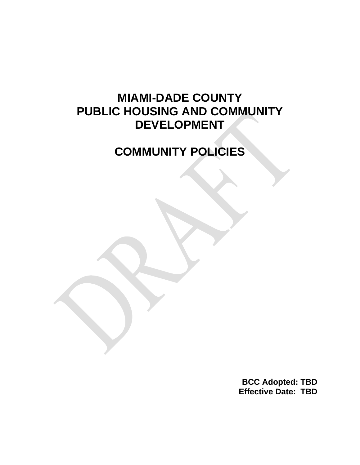# **MIAMI-DADE COUNTY PUBLIC HOUSING AND COMMUNITY DEVELOPMENT**

# **COMMUNITY POLICIES**

**BCC Adopted: TBD Effective Date: TBD**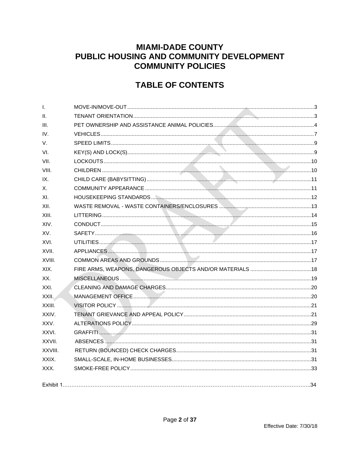# **MIAMI-DADE COUNTY** PUBLIC HOUSING AND COMMUNITY DEVELOPMENT **COMMUNITY POLICIES**

# **TABLE OF CONTENTS**

| $\mathsf{L}$ |  |
|--------------|--|
| II.          |  |
| III.         |  |
| IV.          |  |
| V.           |  |
| VI.          |  |
| VII.         |  |
| VIII.        |  |
| IX.          |  |
| Х.           |  |
| XI.          |  |
| XII.         |  |
| XIII.        |  |
| XIV.         |  |
| XV.          |  |
| XVI.         |  |
| XVII.        |  |
| XVIII.       |  |
| XIX.         |  |
| XX.          |  |
| XXI.         |  |
| XXII.        |  |
| XXIII.       |  |
| XXIV.        |  |
| XXV.         |  |
| XXVI.        |  |
| XXVII.       |  |
| XXVIII.      |  |
| XXIX.        |  |
| XXX.         |  |
|              |  |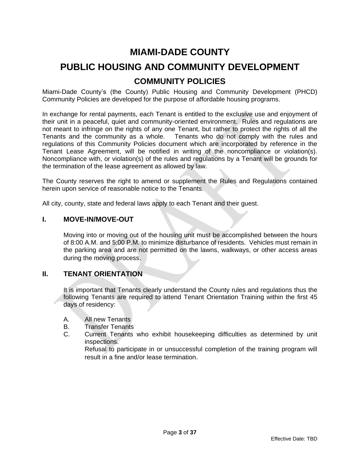# **MIAMI-DADE COUNTY**

# **PUBLIC HOUSING AND COMMUNITY DEVELOPMENT COMMUNITY POLICIES**

Miami-Dade County's (the County) Public Housing and Community Development (PHCD) Community Policies are developed for the purpose of affordable housing programs.

In exchange for rental payments, each Tenant is entitled to the exclusive use and enjoyment of their unit in a peaceful, quiet and community-oriented environment. Rules and regulations are not meant to infringe on the rights of any one Tenant, but rather to protect the rights of all the Tenants and the community as a whole. Tenants who do not comply with the rules and regulations of this Community Policies document which are incorporated by reference in the Tenant Lease Agreement, will be notified in writing of the noncompliance or violation(s). Noncompliance with, or violation(s) of the rules and regulations by a Tenant will be grounds for the termination of the lease agreement as allowed by law.

The County reserves the right to amend or supplement the Rules and Regulations contained herein upon service of reasonable notice to the Tenants.

All city, county, state and federal laws apply to each Tenant and their guest.

#### <span id="page-2-0"></span>**I. MOVE-IN/MOVE-OUT**

Moving into or moving out of the housing unit must be accomplished between the hours of 8:00 A.M. and 5:00 P.M. to minimize disturbance of residents. Vehicles must remain in the parking area and are not permitted on the lawns, walkways, or other access areas during the moving process.

#### <span id="page-2-1"></span>**II. TENANT ORIENTATION**

It is important that Tenants clearly understand the County rules and regulations thus the following Tenants are required to attend Tenant Orientation Training within the first 45 days of residency:

- A. All new Tenants
- B. Transfer Tenants
- C. Current Tenants who exhibit housekeeping difficulties as determined by unit inspections.

Refusal to participate in or unsuccessful completion of the training program will result in a fine and/or lease termination.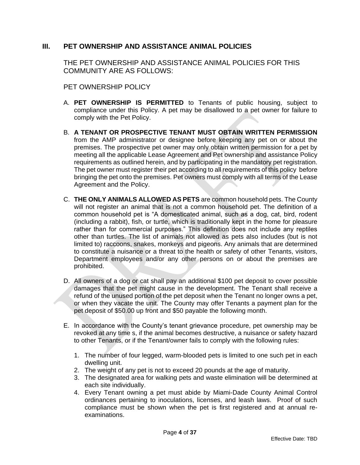# <span id="page-3-0"></span>**III. PET OWNERSHIP AND ASSISTANCE ANIMAL POLICIES**

THE PET OWNERSHIP AND ASSISTANCE ANIMAL POLICIES FOR THIS COMMUNITY ARE AS FOLLOWS:

PET OWNERSHIP POLICY

- A. **PET OWNERSHIP IS PERMITTED** to Tenants of public housing, subject to compliance under this Policy. A pet may be disallowed to a pet owner for failure to comply with the Pet Policy.
- B. **A TENANT OR PROSPECTIVE TENANT MUST OBTAIN WRITTEN PERMISSION** from the AMP administrator or designee before keeping any pet on or about the premises. The prospective pet owner may only obtain written permission for a pet by meeting all the applicable Lease Agreement and Pet ownership and assistance Policy requirements as outlined herein, and by participating in the mandatory pet registration. The pet owner must register their pet according to all requirements of this policy before bringing the pet onto the premises. Pet owners must comply with all terms of the Lease Agreement and the Policy.
- C. **THE ONLY ANIMALS ALLOWED AS PETS** are common household pets. The County will not register an animal that is not a common household pet. The definition of a common household pet is "A domesticated animal, such as a dog, cat, bird, rodent (including a rabbit), fish, or turtle, which is traditionally kept in the home for pleasure rather than for commercial purposes." This definition does not include any reptiles other than turtles. The list of animals not allowed as pets also includes (but is not limited to) raccoons, snakes, monkeys and pigeons. Any animals that are determined to constitute a nuisance or a threat to the health or safety of other Tenants, visitors, Department employees and/or any other persons on or about the premises are prohibited.
- D. All owners of a dog or cat shall pay an additional \$100 pet deposit to cover possible damages that the pet might cause in the development. The Tenant shall receive a refund of the unused portion of the pet deposit when the Tenant no longer owns a pet, or when they vacate the unit. The County may offer Tenants a payment plan for the pet deposit of \$50.00 up front and \$50 payable the following month.
- E. In accordance with the County's tenant grievance procedure, pet ownership may be revoked at any time s, if the animal becomes destructive, a nuisance or safety hazard to other Tenants, or if the Tenant/owner fails to comply with the following rules:
	- 1. The number of four legged, warm-blooded pets is limited to one such pet in each dwelling unit.
	- 2. The weight of any pet is not to exceed 20 pounds at the age of maturity.
	- 3. The designated area for walking pets and waste elimination will be determined at each site individually.
	- 4. Every Tenant owning a pet must abide by Miami-Dade County Animal Control ordinances pertaining to inoculations, licenses, and leash laws. Proof of such compliance must be shown when the pet is first registered and at annual reexaminations.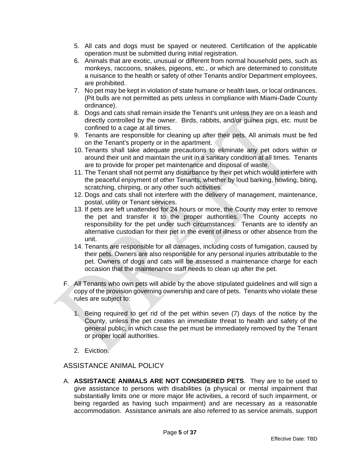- 5. All cats and dogs must be spayed or neutered. Certification of the applicable operation must be submitted during initial registration.
- 6. Animals that are exotic, unusual or different from normal household pets, such as monkeys, raccoons, snakes, pigeons, etc., or which are determined to constitute a nuisance to the health or safety of other Tenants and/or Department employees, are prohibited.
- 7. No pet may be kept in violation of state humane or health laws, or local ordinances. (Pit bulls are not permitted as pets unless in compliance with Miami-Dade County ordinance).
- 8. Dogs and cats shall remain inside the Tenant's unit unless they are on a leash and directly controlled by the owner. Birds, rabbits, and/or guinea pigs, etc. must be confined to a cage at all times.
- 9. Tenants are responsible for cleaning up after their pets. All animals must be fed on the Tenant's property or in the apartment.
- 10. Tenants shall take adequate precautions to eliminate any pet odors within or around their unit and maintain the unit in a sanitary condition at all times. Tenants are to provide for proper pet maintenance and disposal of waste.
- 11. The Tenant shall not permit any disturbance by their pet which would interfere with the peaceful enjoyment of other Tenants, whether by loud barking, howling, biting, scratching, chirping, or any other such activities.
- 12. Dogs and cats shall not interfere with the delivery of management, maintenance, postal, utility or Tenant services.
- 13. If pets are left unattended for 24 hours or more, the County may enter to remove the pet and transfer it to the proper authorities. The County accepts no responsibility for the pet under such circumstances. Tenants are to identify an alternative custodian for their pet in the event of illness or other absence from the unit.
- 14. Tenants are responsible for all damages, including costs of fumigation, caused by their pets. Owners are also responsible for any personal injuries attributable to the pet. Owners of dogs and cats will be assessed a maintenance charge for each occasion that the maintenance staff needs to clean up after the pet.
- F. All Tenants who own pets will abide by the above stipulated guidelines and will sign a copy of the provision governing ownership and care of pets. Tenants who violate these rules are subject to:
	- 1. Being required to get rid of the pet within seven (7) days of the notice by the County, unless the pet creates an immediate threat to health and safety of the general public, in which case the pet must be immediately removed by the Tenant or proper local authorities.
	- 2. Eviction.

# ASSISTANCE ANIMAL POLICY

A. **ASSISTANCE ANIMALS ARE NOT CONSIDERED PETS**. They are to be used to give assistance to persons with disabilities (a physical or mental impairment that substantially limits one or more major life activities, a record of such impairment, or being regarded as having such impairment) and are necessary as a reasonable accommodation. Assistance animals are also referred to as service animals, support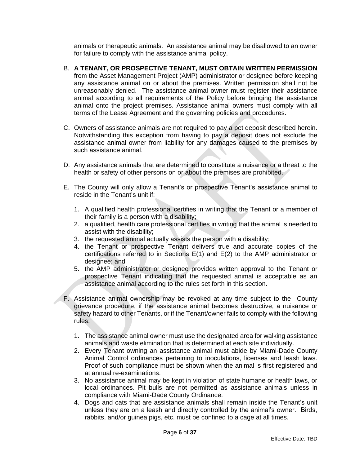animals or therapeutic animals. An assistance animal may be disallowed to an owner for failure to comply with the assistance animal policy.

- B. **A TENANT, OR PROSPECTIVE TENANT, MUST OBTAIN WRITTEN PERMISSION**  from the Asset Management Project (AMP) administrator or designee before keeping any assistance animal on or about the premises. Written permission shall not be unreasonably denied. The assistance animal owner must register their assistance animal according to all requirements of the Policy before bringing the assistance animal onto the project premises. Assistance animal owners must comply with all terms of the Lease Agreement and the governing policies and procedures.
- C. Owners of assistance animals are not required to pay a pet deposit described herein. Notwithstanding this exception from having to pay a deposit does not exclude the assistance animal owner from liability for any damages caused to the premises by such assistance animal.
- D. Any assistance animals that are determined to constitute a nuisance or a threat to the health or safety of other persons on or about the premises are prohibited.
- E. The County will only allow a Tenant's or prospective Tenant's assistance animal to reside in the Tenant's unit if:
	- 1. A qualified health professional certifies in writing that the Tenant or a member of their family is a person with a disability;
	- 2. a qualified, health care professional certifies in writing that the animal is needed to assist with the disability;
	- 3. the requested animal actually assists the person with a disability;
	- 4. the Tenant or prospective Tenant delivers true and accurate copies of the certifications referred to in Sections E(1) and E(2) to the AMP administrator or designee; and
	- 5. the AMP administrator or designee provides written approval to the Tenant or prospective Tenant indicating that the requested animal is acceptable as an assistance animal according to the rules set forth in this section.
- F. Assistance animal ownership may be revoked at any time subject to the County grievance procedure, if the assistance animal becomes destructive, a nuisance or safety hazard to other Tenants, or if the Tenant/owner fails to comply with the following rules:
	- 1. The assistance animal owner must use the designated area for walking assistance animals and waste elimination that is determined at each site individually.
	- 2. Every Tenant owning an assistance animal must abide by Miami-Dade County Animal Control ordinances pertaining to inoculations, licenses and leash laws. Proof of such compliance must be shown when the animal is first registered and at annual re-examinations.
	- 3. No assistance animal may be kept in violation of state humane or health laws, or local ordinances. Pit bulls are not permitted as assistance animals unless in compliance with Miami-Dade County Ordinance.
	- 4. Dogs and cats that are assistance animals shall remain inside the Tenant's unit unless they are on a leash and directly controlled by the animal's owner. Birds, rabbits, and/or guinea pigs, etc. must be confined to a cage at all times.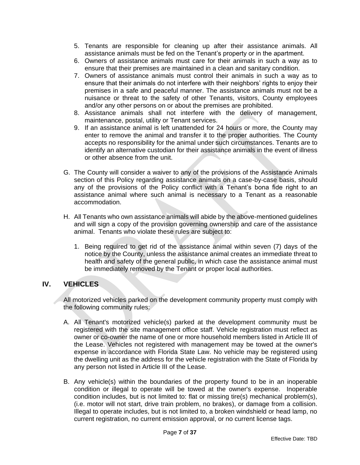- 5. Tenants are responsible for cleaning up after their assistance animals. All assistance animals must be fed on the Tenant's property or in the apartment.
- 6. Owners of assistance animals must care for their animals in such a way as to ensure that their premises are maintained in a clean and sanitary condition.
- 7. Owners of assistance animals must control their animals in such a way as to ensure that their animals do not interfere with their neighbors' rights to enjoy their premises in a safe and peaceful manner. The assistance animals must not be a nuisance or threat to the safety of other Tenants, visitors, County employees and/or any other persons on or about the premises are prohibited.
- 8. Assistance animals shall not interfere with the delivery of management, maintenance, postal, utility or Tenant services.
- 9. If an assistance animal is left unattended for 24 hours or more, the County may enter to remove the animal and transfer it to the proper authorities. The County accepts no responsibility for the animal under such circumstances. Tenants are to identify an alternative custodian for their assistance animals in the event of illness or other absence from the unit.
- G. The County will consider a waiver to any of the provisions of the Assistance Animals section of this Policy regarding assistance animals on a case-by-case basis, should any of the provisions of the Policy conflict with a Tenant's bona fide right to an assistance animal where such animal is necessary to a Tenant as a reasonable accommodation.
- H. All Tenants who own assistance animals will abide by the above-mentioned guidelines and will sign a copy of the provision governing ownership and care of the assistance animal. Tenants who violate these rules are subject to:
	- 1. Being required to get rid of the assistance animal within seven (7) days of the notice by the County, unless the assistance animal creates an immediate threat to health and safety of the general public, in which case the assistance animal must be immediately removed by the Tenant or proper local authorities.

# <span id="page-6-0"></span>**IV. VEHICLES**

All motorized vehicles parked on the development community property must comply with the following community rules:

- A. All Tenant's motorized vehicle(s) parked at the development community must be registered with the site management office staff. Vehicle registration must reflect as owner or co-owner the name of one or more household members listed in Article III of the Lease. Vehicles not registered with management may be towed at the owner's expense in accordance with Florida State Law. No vehicle may be registered using the dwelling unit as the address for the vehicle registration with the State of Florida by any person not listed in Article III of the Lease.
- B. Any vehicle(s) within the boundaries of the property found to be in an inoperable condition or illegal to operate will be towed at the owner's expense. Inoperable condition includes, but is not limited to: flat or missing tire(s) mechanical problem(s), (i.e. motor will not start, drive train problem, no brakes), or damage from a collision. Illegal to operate includes, but is not limited to, a broken windshield or head lamp, no current registration, no current emission approval, or no current license tags.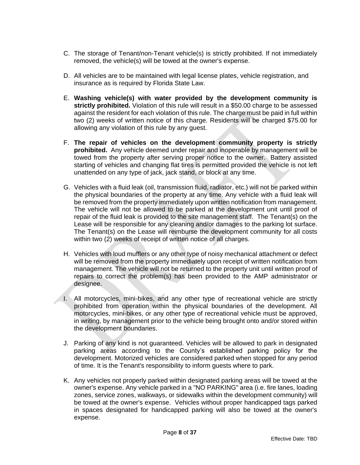- C. The storage of Tenant/non-Tenant vehicle(s) is strictly prohibited. If not immediately removed, the vehicle(s) will be towed at the owner's expense.
- D. All vehicles are to be maintained with legal license plates, vehicle registration, and insurance as is required by Florida State Law.
- E. **Washing vehicle(s) with water provided by the development community is strictly prohibited.** Violation of this rule will result in a \$50.00 charge to be assessed against the resident for each violation of this rule. The charge must be paid in full within two (2) weeks of written notice of this charge. Residents will be charged \$75.00 for allowing any violation of this rule by any guest.
- F. **The repair of vehicles on the development community property is strictly prohibited.** Any vehicle deemed under repair and inoperable by management will be towed from the property after serving proper notice to the owner. Battery assisted starting of vehicles and changing flat tires is permitted provided the vehicle is not left unattended on any type of jack, jack stand, or block at any time.
- G. Vehicles with a fluid leak (oil, transmission fluid, radiator, etc.) will not be parked within the physical boundaries of the property at any time. Any vehicle with a fluid leak will be removed from the property immediately upon written notification from management. The vehicle will not be allowed to be parked at the development unit until proof of repair of the fluid leak is provided to the site management staff. The Tenant(s) on the Lease will be responsible for any cleaning and/or damages to the parking lot surface. The Tenant(s) on the Lease will reimburse the development community for all costs within two (2) weeks of receipt of written notice of all charges.
- H. Vehicles with loud mufflers or any other type of noisy mechanical attachment or defect will be removed from the property immediately upon receipt of written notification from management. The vehicle will not be returned to the property unit until written proof of repairs to correct the problem(s) has been provided to the AMP administrator or designee.
- I. All motorcycles, mini-bikes, and any other type of recreational vehicle are strictly prohibited from operation within the physical boundaries of the development. All motorcycles, mini-bikes, or any other type of recreational vehicle must be approved, in writing, by management prior to the vehicle being brought onto and/or stored within the development boundaries.
- J. Parking of any kind is not guaranteed. Vehicles will be allowed to park in designated parking areas according to the County's established parking policy for the development. Motorized vehicles are considered parked when stopped for any period of time. It is the Tenant's responsibility to inform guests where to park.
- K. Any vehicles not properly parked within designated parking areas will be towed at the owner's expense. Any vehicle parked in a "NO PARKING" area (i.e. fire lanes, loading zones, service zones, walkways, or sidewalks within the development community) will be towed at the owner's expense. Vehicles without proper handicapped tags parked in spaces designated for handicapped parking will also be towed at the owner's expense.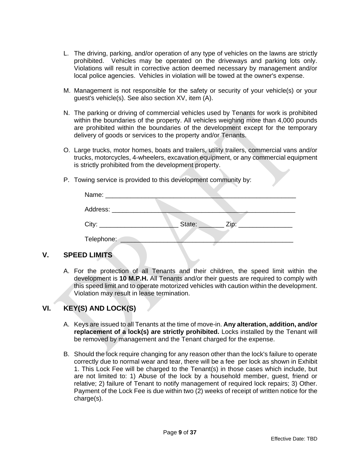- L. The driving, parking, and/or operation of any type of vehicles on the lawns are strictly prohibited. Vehicles may be operated on the driveways and parking lots only. Violations will result in corrective action deemed necessary by management and/or local police agencies. Vehicles in violation will be towed at the owner's expense.
- M. Management is not responsible for the safety or security of your vehicle(s) or your guest's vehicle(s). See also section XV, item (A).
- N. The parking or driving of commercial vehicles used by Tenants for work is prohibited within the boundaries of the property. All vehicles weighing more than 4,000 pounds are prohibited within the boundaries of the development except for the temporary delivery of goods or services to the property and/or Tenants.
- O. Large trucks, motor homes, boats and trailers, utility trailers, commercial vans and/or trucks, motorcycles, 4-wheelers, excavation equipment, or any commercial equipment is strictly prohibited from the development property.
- P. Towing service is provided to this development community by:

| Address: ___________ |        |      |  |
|----------------------|--------|------|--|
|                      | State: | Zip: |  |
| Telephone:           |        |      |  |

# <span id="page-8-0"></span>**V. SPEED LIMITS**

A. For the protection of all Tenants and their children, the speed limit within the development is **10 M.P.H.** All Tenants and/or their guests are required to comply with this speed limit and to operate motorized vehicles with caution within the development. Violation may result in lease termination.

# <span id="page-8-1"></span>**VI. KEY(S) AND LOCK(S)**

- A. Keys are issued to all Tenants at the time of move-in. **Any alteration, addition, and/or replacement of a lock(s) are strictly prohibited.** Locks installed by the Tenant will be removed by management and the Tenant charged for the expense.
- B. Should the lock require changing for any reason other than the lock's failure to operate correctly due to normal wear and tear, there will be a fee per lock as shown in Exhibit 1. This Lock Fee will be charged to the Tenant(s) in those cases which include, but are not limited to: 1) Abuse of the lock by a household member, guest, friend or relative; 2) failure of Tenant to notify management of required lock repairs; 3) Other. Payment of the Lock Fee is due within two (2) weeks of receipt of written notice for the charge(s).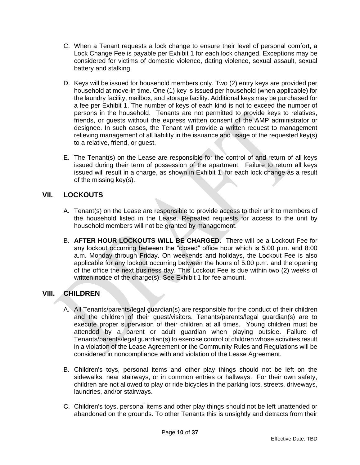- C. When a Tenant requests a lock change to ensure their level of personal comfort, a Lock Change Fee is payable per Exhibit 1 for each lock changed. Exceptions may be considered for victims of domestic violence, dating violence, sexual assault, sexual battery and stalking.
- D. Keys will be issued for household members only. Two (2) entry keys are provided per household at move-in time. One (1) key is issued per household (when applicable) for the laundry facility, mailbox, and storage facility. Additional keys may be purchased for a fee per Exhibit 1. The number of keys of each kind is not to exceed the number of persons in the household. Tenants are not permitted to provide keys to relatives, friends, or guests without the express written consent of the AMP administrator or designee. In such cases, the Tenant will provide a written request to management relieving management of all liability in the issuance and usage of the requested key(s) to a relative, friend, or guest.
- E. The Tenant(s) on the Lease are responsible for the control of and return of all keys issued during their term of possession of the apartment. Failure to return all keys issued will result in a charge, as shown in Exhibit 1, for each lock change as a result of the missing key(s).

# <span id="page-9-0"></span>**VII. LOCKOUTS**

- A. Tenant(s) on the Lease are responsible to provide access to their unit to members of the household listed in the Lease. Repeated requests for access to the unit by household members will not be granted by management.
- B. **AFTER HOUR LOCKOUTS WILL BE CHARGED.** There will be a Lockout Fee for any lockout occurring between the "closed" office hour which is 5:00 p.m. and 8:00 a.m. Monday through Friday. On weekends and holidays, the Lockout Fee is also applicable for any lockout occurring between the hours of 5:00 p.m. and the opening of the office the next business day. This Lockout Fee is due within two (2) weeks of written notice of the charge(s). See Exhibit 1 for fee amount.

# <span id="page-9-1"></span>**VIII. CHILDREN**

- A. All Tenants/parents/legal guardian(s) are responsible for the conduct of their children and the children of their guest/visitors. Tenants/parents/legal guardian(s) are to execute proper supervision of their children at all times. Young children must be attended by a parent or adult guardian when playing outside. Failure of Tenants/parents/legal guardian(s) to exercise control of children whose activities result in a violation of the Lease Agreement or the Community Rules and Regulations will be considered in noncompliance with and violation of the Lease Agreement.
- B. Children's toys, personal items and other play things should not be left on the sidewalks, near stairways, or in common entries or hallways. For their own safety, children are not allowed to play or ride bicycles in the parking lots, streets, driveways, laundries, and/or stairways.
- C. Children's toys, personal items and other play things should not be left unattended or abandoned on the grounds. To other Tenants this is unsightly and detracts from their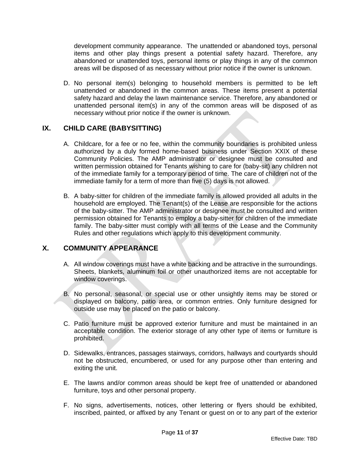development community appearance. The unattended or abandoned toys, personal items and other play things present a potential safety hazard. Therefore, any abandoned or unattended toys, personal items or play things in any of the common areas will be disposed of as necessary without prior notice if the owner is unknown.

D. No personal item(s) belonging to household members is permitted to be left unattended or abandoned in the common areas. These items present a potential safety hazard and delay the lawn maintenance service. Therefore, any abandoned or unattended personal item(s) in any of the common areas will be disposed of as necessary without prior notice if the owner is unknown.

# <span id="page-10-0"></span>**IX. CHILD CARE (BABYSITTING)**

- A. Childcare, for a fee or no fee, within the community boundaries is prohibited unless authorized by a duly formed home-based business under Section XXIX of these Community Policies. The AMP administrator or designee must be consulted and written permission obtained for Tenants wishing to care for (baby-sit) any children not of the immediate family for a temporary period of time. The care of children not of the immediate family for a term of more than five (5) days is not allowed.
- B. A baby-sitter for children of the immediate family is allowed provided all adults in the household are employed. The Tenant(s) of the Lease are responsible for the actions of the baby-sitter. The AMP administrator or designee must be consulted and written permission obtained for Tenants to employ a baby-sitter for children of the immediate family. The baby-sitter must comply with all terms of the Lease and the Community Rules and other regulations which apply to this development community.

# <span id="page-10-1"></span>**X. COMMUNITY APPEARANCE**

- A. All window coverings must have a white backing and be attractive in the surroundings. Sheets, blankets, aluminum foil or other unauthorized items are not acceptable for window coverings.
- B. No personal, seasonal, or special use or other unsightly items may be stored or displayed on balcony, patio area, or common entries. Only furniture designed for outside use may be placed on the patio or balcony.
- C. Patio furniture must be approved exterior furniture and must be maintained in an acceptable condition. The exterior storage of any other type of items or furniture is prohibited.
- D. Sidewalks, entrances, passages stairways, corridors, hallways and courtyards should not be obstructed, encumbered, or used for any purpose other than entering and exiting the unit.
- E. The lawns and/or common areas should be kept free of unattended or abandoned furniture, toys and other personal property.
- F. No signs, advertisements, notices, other lettering or flyers should be exhibited, inscribed, painted, or affixed by any Tenant or guest on or to any part of the exterior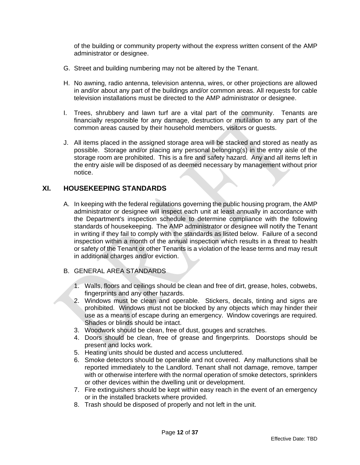of the building or community property without the express written consent of the AMP administrator or designee.

- G. Street and building numbering may not be altered by the Tenant.
- H. No awning, radio antenna, television antenna, wires, or other projections are allowed in and/or about any part of the buildings and/or common areas. All requests for cable television installations must be directed to the AMP administrator or designee.
- I. Trees, shrubbery and lawn turf are a vital part of the community. Tenants are financially responsible for any damage, destruction or mutilation to any part of the common areas caused by their household members, visitors or guests.
- J. All items placed in the assigned storage area will be stacked and stored as neatly as possible. Storage and/or placing any personal belonging(s) in the entry aisle of the storage room are prohibited. This is a fire and safety hazard. Any and all items left in the entry aisle will be disposed of as deemed necessary by management without prior notice.

#### <span id="page-11-0"></span>**XI. HOUSEKEEPING STANDARDS**

- A. In keeping with the federal regulations governing the public housing program, the AMP administrator or designee will inspect each unit at least annually in accordance with the Department's inspection schedule to determine compliance with the following standards of housekeeping. The AMP administrator or designee will notify the Tenant in writing if they fail to comply with the standards as listed below. Failure of a second inspection within a month of the annual inspection which results in a threat to health or safety of the Tenant or other Tenants is a violation of the lease terms and may result in additional charges and/or eviction.
- B. GENERAL AREA STANDARDS
	- 1. Walls, floors and ceilings should be clean and free of dirt, grease, holes, cobwebs, fingerprints and any other hazards.
	- 2. Windows must be clean and operable. Stickers, decals, tinting and signs are prohibited. Windows must not be blocked by any objects which may hinder their use as a means of escape during an emergency. Window coverings are required. Shades or blinds should be intact.
	- 3. Woodwork should be clean, free of dust, gouges and scratches.
	- 4. Doors should be clean, free of grease and fingerprints. Doorstops should be present and locks work.
	- 5. Heating units should be dusted and access uncluttered.
	- 6. Smoke detectors should be operable and not covered. Any malfunctions shall be reported immediately to the Landlord. Tenant shall not damage, remove, tamper with or otherwise interfere with the normal operation of smoke detectors, sprinklers or other devices within the dwelling unit or development.
	- 7. Fire extinguishers should be kept within easy reach in the event of an emergency or in the installed brackets where provided.
	- 8. Trash should be disposed of properly and not left in the unit.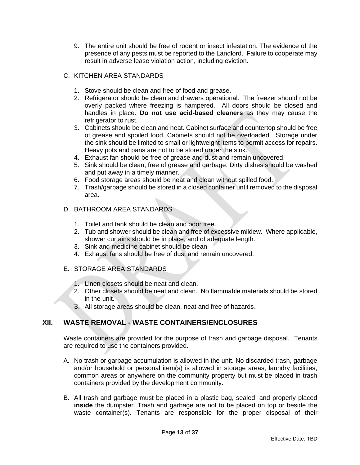9. The entire unit should be free of rodent or insect infestation. The evidence of the presence of any pests must be reported to the Landlord. Failure to cooperate may result in adverse lease violation action, including eviction.

#### C. KITCHEN AREA STANDARDS

- 1. Stove should be clean and free of food and grease.
- 2. Refrigerator should be clean and drawers operational. The freezer should not be overly packed where freezing is hampered. All doors should be closed and handles in place. **Do not use acid-based cleaners** as they may cause the refrigerator to rust.
- 3. Cabinets should be clean and neat. Cabinet surface and countertop should be free of grease and spoiled food. Cabinets should not be overloaded. Storage under the sink should be limited to small or lightweight items to permit access for repairs. Heavy pots and pans are not to be stored under the sink.
- 4. Exhaust fan should be free of grease and dust and remain uncovered.
- 5. Sink should be clean, free of grease and garbage. Dirty dishes should be washed and put away in a timely manner.
- 6. Food storage areas should be neat and clean without spilled food.
- 7. Trash/garbage should be stored in a closed container until removed to the disposal area.

#### D. BATHROOM AREA STANDARDS

- 1. Toilet and tank should be clean and odor free.
- 2. Tub and shower should be clean and free of excessive mildew. Where applicable, shower curtains should be in place, and of adequate length.
- 3. Sink and medicine cabinet should be clean.
- 4. Exhaust fans should be free of dust and remain uncovered.

# E. STORAGE AREA STANDARDS

- 1. Linen closets should be neat and clean.
- 2. Other closets should be neat and clean. No flammable materials should be stored in the unit.
- 3. All storage areas should be clean, neat and free of hazards.

# <span id="page-12-0"></span>**XII. WASTE REMOVAL - WASTE CONTAINERS/ENCLOSURES**

Waste containers are provided for the purpose of trash and garbage disposal. Tenants are required to use the containers provided.

- A. No trash or garbage accumulation is allowed in the unit. No discarded trash, garbage and/or household or personal item(s) is allowed in storage areas, laundry facilities, common areas or anywhere on the community property but must be placed in trash containers provided by the development community.
- B. All trash and garbage must be placed in a plastic bag, sealed, and properly placed **inside** the dumpster. Trash and garbage are not to be placed on top or beside the waste container(s). Tenants are responsible for the proper disposal of their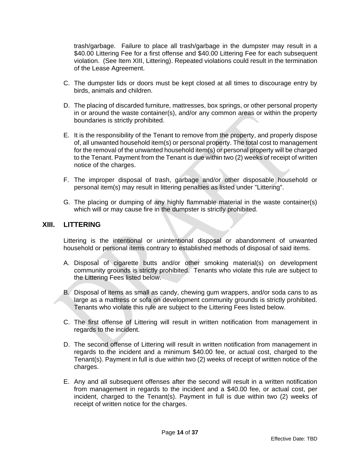trash/garbage. Failure to place all trash/garbage in the dumpster may result in a \$40.00 Littering Fee for a first offense and \$40.00 Littering Fee for each subsequent violation. (See Item XIII, Littering). Repeated violations could result in the termination of the Lease Agreement.

- C. The dumpster lids or doors must be kept closed at all times to discourage entry by birds, animals and children.
- D. The placing of discarded furniture, mattresses, box springs, or other personal property in or around the waste container(s), and/or any common areas or within the property boundaries is strictly prohibited.
- E. It is the responsibility of the Tenant to remove from the property, and properly dispose of, all unwanted household item(s) or personal property. The total cost to management for the removal of the unwanted household item(s) or personal property will be charged to the Tenant. Payment from the Tenant is due within two (2) weeks of receipt of written notice of the charges.
- F. The improper disposal of trash, garbage and/or other disposable household or personal item(s) may result in littering penalties as listed under "Littering".
- G. The placing or dumping of any highly flammable material in the waste container(s) which will or may cause fire in the dumpster is strictly prohibited.

#### <span id="page-13-0"></span>**XIII. LITTERING**

Littering is the intentional or unintentional disposal or abandonment of unwanted household or personal items contrary to established methods of disposal of said items.

- A. Disposal of cigarette butts and/or other smoking material(s) on development community grounds is strictly prohibited. Tenants who violate this rule are subject to the Littering Fees listed below.
- B. Disposal of items as small as candy, chewing gum wrappers, and/or soda cans to as large as a mattress or sofa on development community grounds is strictly prohibited. Tenants who violate this rule are subject to the Littering Fees listed below.
- C. The first offense of Littering will result in written notification from management in regards to the incident.
- D. The second offense of Littering will result in written notification from management in regards to the incident and a minimum \$40.00 fee, or actual cost, charged to the Tenant(s). Payment in full is due within two (2) weeks of receipt of written notice of the charges.
- E. Any and all subsequent offenses after the second will result in a written notification from management in regards to the incident and a \$40.00 fee, or actual cost, per incident, charged to the Tenant(s). Payment in full is due within two (2) weeks of receipt of written notice for the charges.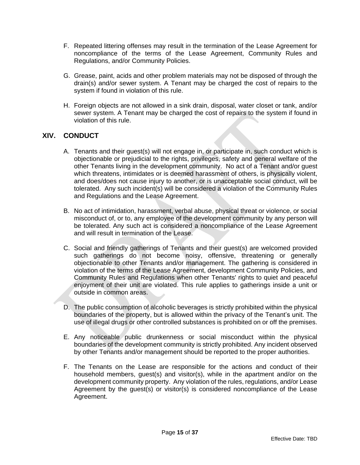- F. Repeated littering offenses may result in the termination of the Lease Agreement for noncompliance of the terms of the Lease Agreement, Community Rules and Regulations, and/or Community Policies.
- G. Grease, paint, acids and other problem materials may not be disposed of through the drain(s) and/or sewer system. A Tenant may be charged the cost of repairs to the system if found in violation of this rule.
- H. Foreign objects are not allowed in a sink drain, disposal, water closet or tank, and/or sewer system. A Tenant may be charged the cost of repairs to the system if found in violation of this rule.

# <span id="page-14-0"></span>**XIV. CONDUCT**

- A. Tenants and their guest(s) will not engage in, or participate in, such conduct which is objectionable or prejudicial to the rights, privileges, safety and general welfare of the other Tenants living in the development community. No act of a Tenant and/or guest which threatens, intimidates or is deemed harassment of others, is physically violent, and does/does not cause injury to another, or is unacceptable social conduct, will be tolerated. Any such incident(s) will be considered a violation of the Community Rules and Regulations and the Lease Agreement.
- B. No act of intimidation, harassment, verbal abuse, physical threat or violence, or social misconduct of, or to, any employee of the development community by any person will be tolerated. Any such act is considered a noncompliance of the Lease Agreement and will result in termination of the Lease.
- C. Social and friendly gatherings of Tenants and their guest(s) are welcomed provided such gatherings do not become noisy, offensive, threatening or generally objectionable to other Tenants and/or management. The gathering is considered in violation of the terms of the Lease Agreement, development Community Policies, and Community Rules and Regulations when other Tenants' rights to quiet and peaceful enjoyment of their unit are violated. This rule applies to gatherings inside a unit or outside in common areas.
- D. The public consumption of alcoholic beverages is strictly prohibited within the physical boundaries of the property, but is allowed within the privacy of the Tenant's unit. The use of illegal drugs or other controlled substances is prohibited on or off the premises.
- E. Any noticeable public drunkenness or social misconduct within the physical boundaries of the development community is strictly prohibited. Any incident observed by other Tenants and/or management should be reported to the proper authorities.
- F. The Tenants on the Lease are responsible for the actions and conduct of their household members, guest(s) and visitor(s), while in the apartment and/or on the development community property. Any violation of the rules, regulations, and/or Lease Agreement by the guest(s) or visitor(s) is considered noncompliance of the Lease Agreement.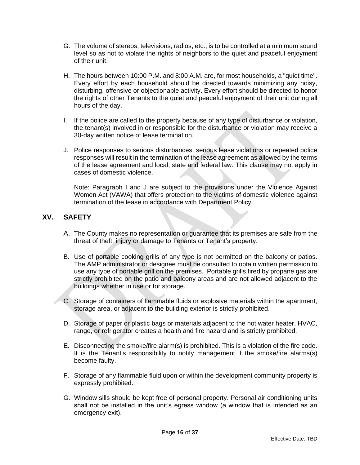- G. The volume of stereos, televisions, radios, etc., is to be controlled at a minimum sound level so as not to violate the rights of neighbors to the quiet and peaceful enjoyment of their unit.
- H. The hours between 10:00 P.M. and 8:00 A.M. are, for most households, a "quiet time". Every effort by each household should be directed towards minimizing any noisy, disturbing, offensive or objectionable activity. Every effort should be directed to honor the rights of other Tenants to the quiet and peaceful enjoyment of their unit during all hours of the day.
- I. If the police are called to the property because of any type of disturbance or violation, the tenant(s) involved in or responsible for the disturbance or violation may receive a 30-day written notice of lease termination.
- J. Police responses to serious disturbances, serious lease violations or repeated police responses will result in the termination of the lease agreement as allowed by the terms of the lease agreement and local, state and federal law. This clause may not apply in cases of domestic violence.

Note: Paragraph I and J are subject to the provisions under the Violence Against Women Act (VAWA) that offers protection to the victims of domestic violence against termination of the lease in accordance with Department Policy.

# <span id="page-15-0"></span>**XV. SAFETY**

- A. The County makes no representation or guarantee that its premises are safe from the threat of theft, injury or damage to Tenants or Tenant's property.
- B. Use of portable cooking grills of any type is not permitted on the balcony or patios. The AMP administrator or designee must be consulted to obtain written permission to use any type of portable grill on the premises. Portable grills fired by propane gas are strictly prohibited on the patio and balcony areas and are not allowed adjacent to the buildings whether in use or for storage.
- C. Storage of containers of flammable fluids or explosive materials within the apartment, storage area, or adjacent to the building exterior is strictly prohibited.
- D. Storage of paper or plastic bags or materials adjacent to the hot water heater, HVAC, range, or refrigerator creates a health and fire hazard and is strictly prohibited.
- E. Disconnecting the smoke/fire alarm(s) is prohibited. This is a violation of the fire code. It is the Tenant's responsibility to notify management if the smoke/fire alarms(s) become faulty.
- F. Storage of any flammable fluid upon or within the development community property is expressly prohibited.
- G. Window sills should be kept free of personal property. Personal air conditioning units shall not be installed in the unit's egress window (a window that is intended as an emergency exit).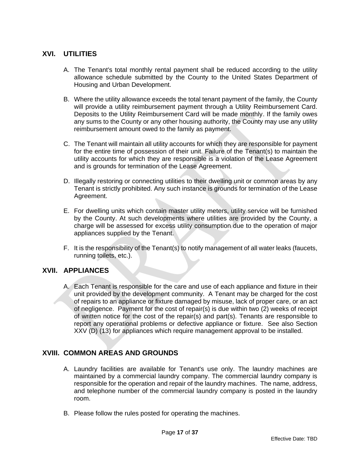# <span id="page-16-0"></span>**XVI. UTILITIES**

- A. The Tenant's total monthly rental payment shall be reduced according to the utility allowance schedule submitted by the County to the United States Department of Housing and Urban Development.
- B. Where the utility allowance exceeds the total tenant payment of the family, the County will provide a utility reimbursement payment through a Utility Reimbursement Card. Deposits to the Utility Reimbursement Card will be made monthly. If the family owes any sums to the County or any other housing authority, the County may use any utility reimbursement amount owed to the family as payment.
- C. The Tenant will maintain all utility accounts for which they are responsible for payment for the entire time of possession of their unit. Failure of the Tenant(s) to maintain the utility accounts for which they are responsible is a violation of the Lease Agreement and is grounds for termination of the Lease Agreement.
- D. Illegally restoring or connecting utilities to their dwelling unit or common areas by any Tenant is strictly prohibited. Any such instance is grounds for termination of the Lease Agreement.
- E. For dwelling units which contain master utility meters, utility service will be furnished by the County. At such developments where utilities are provided by the County, a charge will be assessed for excess utility consumption due to the operation of major appliances supplied by the Tenant.
- F. It is the responsibility of the Tenant(s) to notify management of all water leaks (faucets, running toilets, etc.).

# <span id="page-16-1"></span>**XVII. APPLIANCES**

A. Each Tenant is responsible for the care and use of each appliance and fixture in their unit provided by the development community. A Tenant may be charged for the cost of repairs to an appliance or fixture damaged by misuse, lack of proper care, or an act of negligence. Payment for the cost of repair(s) is due within two (2) weeks of receipt of written notice for the cost of the repair(s) and part(s). Tenants are responsible to report any operational problems or defective appliance or fixture. See also Section XXV (D) (13) for appliances which require management approval to be installed.

# <span id="page-16-2"></span>**XVIII. COMMON AREAS AND GROUNDS**

- A. Laundry facilities are available for Tenant's use only. The laundry machines are maintained by a commercial laundry company. The commercial laundry company is responsible for the operation and repair of the laundry machines. The name, address, and telephone number of the commercial laundry company is posted in the laundry room.
- B. Please follow the rules posted for operating the machines.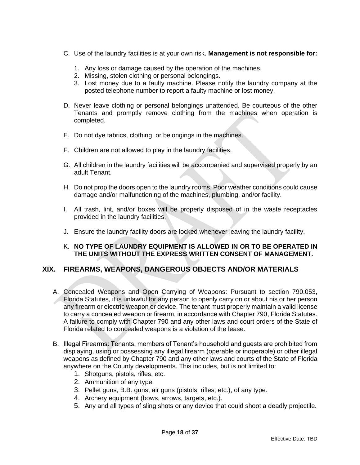- C. Use of the laundry facilities is at your own risk. **Management is not responsible for:**
	- 1. Any loss or damage caused by the operation of the machines.
	- 2. Missing, stolen clothing or personal belongings.
	- 3. Lost money due to a faulty machine. Please notify the laundry company at the posted telephone number to report a faulty machine or lost money.
- D. Never leave clothing or personal belongings unattended. Be courteous of the other Tenants and promptly remove clothing from the machines when operation is completed.
- E. Do not dye fabrics, clothing, or belongings in the machines.
- F. Children are not allowed to play in the laundry facilities.
- G. All children in the laundry facilities will be accompanied and supervised properly by an adult Tenant.
- H. Do not prop the doors open to the laundry rooms. Poor weather conditions could cause damage and/or malfunctioning of the machines, plumbing, and/or facility.
- I. All trash, lint, and/or boxes will be properly disposed of in the waste receptacles provided in the laundry facilities.
- J. Ensure the laundry facility doors are locked whenever leaving the laundry facility.
- K. **NO TYPE OF LAUNDRY EQUIPMENT IS ALLOWED IN OR TO BE OPERATED IN THE UNITS WITHOUT THE EXPRESS WRITTEN CONSENT OF MANAGEMENT.**

# <span id="page-17-0"></span>**XIX. FIREARMS, WEAPONS, DANGEROUS OBJECTS AND/OR MATERIALS**

- A. Concealed Weapons and Open Carrying of Weapons: Pursuant to section 790.053, Florida Statutes, it is unlawful for any person to openly carry on or about his or her person any firearm or electric weapon or device. The tenant must properly maintain a valid license to carry a concealed weapon or firearm, in accordance with Chapter 790, Florida Statutes. A failure to comply with Chapter 790 and any other laws and court orders of the State of Florida related to concealed weapons is a violation of the lease.
- B. Illegal Firearms: Tenants, members of Tenant's household and guests are prohibited from displaying, using or possessing any illegal firearm (operable or inoperable) or other illegal weapons as defined by Chapter 790 and any other laws and courts of the State of Florida anywhere on the County developments. This includes, but is not limited to:
	- 1. Shotguns, pistols, rifles, etc.
	- 2. Ammunition of any type.
	- 3. Pellet guns, B.B. guns, air guns (pistols, rifles, etc.), of any type.
	- 4. Archery equipment (bows, arrows, targets, etc.).
	- 5. Any and all types of sling shots or any device that could shoot a deadly projectile.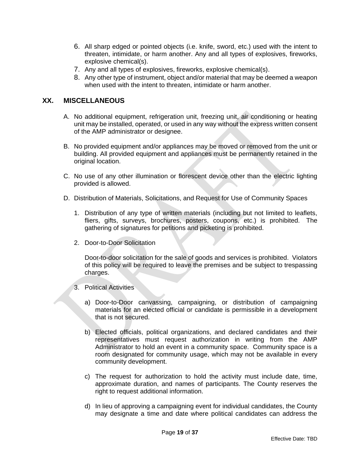- 6. All sharp edged or pointed objects (i.e. knife, sword, etc.) used with the intent to threaten, intimidate, or harm another. Any and all types of explosives, fireworks, explosive chemical(s).
- 7. Any and all types of explosives, fireworks, explosive chemical(s).
- 8. Any other type of instrument, object and/or material that may be deemed a weapon when used with the intent to threaten, intimidate or harm another.

# <span id="page-18-0"></span>**XX. MISCELLANEOUS**

- A. No additional equipment, refrigeration unit, freezing unit, air conditioning or heating unit may be installed, operated, or used in any way without the express written consent of the AMP administrator or designee.
- B. No provided equipment and/or appliances may be moved or removed from the unit or building. All provided equipment and appliances must be permanently retained in the original location.
- C. No use of any other illumination or florescent device other than the electric lighting provided is allowed.
- D. Distribution of Materials, Solicitations, and Request for Use of Community Spaces
	- 1. Distribution of any type of written materials (including but not limited to leaflets, fliers, gifts, surveys, brochures, posters, coupons, etc.) is prohibited. The gathering of signatures for petitions and picketing is prohibited.
	- 2. Door-to-Door Solicitation

Door-to-door solicitation for the sale of goods and services is prohibited. Violators of this policy will be required to leave the premises and be subject to trespassing charges.

- 3. Political Activities
	- a) Door-to-Door canvassing, campaigning, or distribution of campaigning materials for an elected official or candidate is permissible in a development that is not secured.
	- b) Elected officials, political organizations, and declared candidates and their representatives must request authorization in writing from the AMP Administrator to hold an event in a community space. Community space is a room designated for community usage, which may not be available in every community development.
	- c) The request for authorization to hold the activity must include date, time, approximate duration, and names of participants. The County reserves the right to request additional information.
	- d) In lieu of approving a campaigning event for individual candidates, the County may designate a time and date where political candidates can address the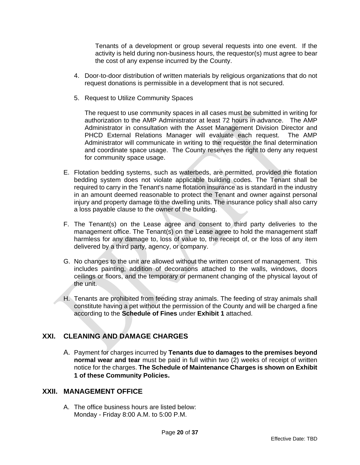Tenants of a development or group several requests into one event. If the activity is held during non-business hours, the requestor(s) must agree to bear the cost of any expense incurred by the County.

- 4. Door-to-door distribution of written materials by religious organizations that do not request donations is permissible in a development that is not secured.
- 5. Request to Utilize Community Spaces

The request to use community spaces in all cases must be submitted in writing for authorization to the AMP Administrator at least 72 hours in advance. The AMP Administrator in consultation with the Asset Management Division Director and PHCD External Relations Manager will evaluate each request. The AMP Administrator will communicate in writing to the requestor the final determination and coordinate space usage. The County reserves the right to deny any request for community space usage.

- E. Flotation bedding systems, such as waterbeds, are permitted, provided the flotation bedding system does not violate applicable building codes. The Tenant shall be required to carry in the Tenant's name flotation insurance as is standard in the industry in an amount deemed reasonable to protect the Tenant and owner against personal injury and property damage to the dwelling units. The insurance policy shall also carry a loss payable clause to the owner of the building.
- F. The Tenant(s) on the Lease agree and consent to third party deliveries to the management office. The Tenant(s) on the Lease agree to hold the management staff harmless for any damage to, loss of value to, the receipt of, or the loss of any item delivered by a third party, agency, or company.
- G. No changes to the unit are allowed without the written consent of management. This includes painting, addition of decorations attached to the walls, windows, doors ceilings or floors, and the temporary or permanent changing of the physical layout of the unit.
- H. Tenants are prohibited from feeding stray animals. The feeding of stray animals shall constitute having a pet without the permission of the County and will be charged a fine according to the **Schedule of Fines** under **Exhibit 1** attached.

# <span id="page-19-0"></span>**XXI. CLEANING AND DAMAGE CHARGES**

A. Payment for charges incurred by **Tenants due to damages to the premises beyond normal wear and tear** must be paid in full within two (2) weeks of receipt of written notice for the charges. **The Schedule of Maintenance Charges is shown on Exhibit 1 of these Community Policies.**

#### <span id="page-19-1"></span>**XXII. MANAGEMENT OFFICE**

A. The office business hours are listed below: Monday - Friday 8:00 A.M. to 5:00 P.M.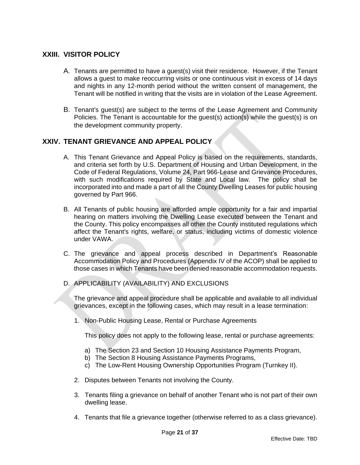# <span id="page-20-0"></span>**XXIII. VISITOR POLICY**

- A. Tenants are permitted to have a guest(s) visit their residence. However, if the Tenant allows a guest to make reoccurring visits or one continuous visit in excess of 14 days and nights in any 12-month period without the written consent of management, the Tenant will be notified in writing that the visits are in violation of the Lease Agreement.
- B. Tenant's guest(s) are subject to the terms of the Lease Agreement and Community Policies. The Tenant is accountable for the guest(s) action(s) while the guest(s) is on the development community property.

# <span id="page-20-1"></span>**XXIV. TENANT GRIEVANCE AND APPEAL POLICY**

- A. This Tenant Grievance and Appeal Policy is based on the requirements, standards, and criteria set forth by U.S. Department of Housing and Urban Development, in the Code of Federal Regulations, Volume 24, Part 966-Lease and Grievance Procedures, with such modifications required by State and Local law. The policy shall be incorporated into and made a part of all the County Dwelling Leases for public housing governed by Part 966.
- B. All Tenants of public housing are afforded ample opportunity for a fair and impartial hearing on matters involving the Dwelling Lease executed between the Tenant and the County. This policy encompasses all other the County instituted regulations which affect the Tenant's rights, welfare, or status, including victims of domestic violence under VAWA.
- C. The grievance and appeal process described in Department's Reasonable Accommodation Policy and Procedures (Appendix IV of the ACOP) shall be applied to those cases in which Tenants have been denied reasonable accommodation requests.
- D. APPLICABILITY (AVAILABILITY) AND EXCLUSIONS

 The grievance and appeal procedure shall be applicable and available to all individual grievances, except in the following cases, which may result in a lease termination:

1. Non-Public Housing Lease, Rental or Purchase Agreements

This policy does not apply to the following lease, rental or purchase agreements:

- a) The Section 23 and Section 10 Housing Assistance Payments Program,
- b) The Section 8 Housing Assistance Payments Programs,
- c) The Low-Rent Housing Ownership Opportunities Program (Turnkey II).
- 2. Disputes between Tenants not involving the County.
- 3. Tenants filing a grievance on behalf of another Tenant who is not part of their own dwelling lease.
- 4. Tenants that file a grievance together (otherwise referred to as a class grievance).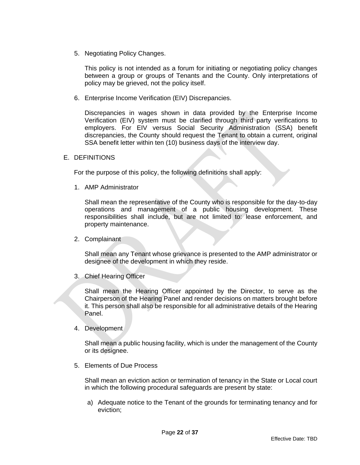5. Negotiating Policy Changes.

This policy is not intended as a forum for initiating or negotiating policy changes between a group or groups of Tenants and the County. Only interpretations of policy may be grieved, not the policy itself.

6. Enterprise Income Verification (EIV) Discrepancies.

Discrepancies in wages shown in data provided by the Enterprise Income Verification (EIV) system must be clarified through third party verifications to employers. For EIV versus Social Security Administration (SSA) benefit discrepancies, the County should request the Tenant to obtain a current, original SSA benefit letter within ten (10) business days of the interview day.

E. DEFINITIONS

For the purpose of this policy, the following definitions shall apply:

1. AMP Administrator

Shall mean the representative of the County who is responsible for the day-to-day operations and management of a public housing development. These responsibilities shall include, but are not limited to: lease enforcement, and property maintenance.

2. Complainant

Shall mean any Tenant whose grievance is presented to the AMP administrator or designee of the development in which they reside.

3. Chief Hearing Officer

Shall mean the Hearing Officer appointed by the Director, to serve as the Chairperson of the Hearing Panel and render decisions on matters brought before it. This person shall also be responsible for all administrative details of the Hearing Panel.

4. Development

Shall mean a public housing facility, which is under the management of the County or its designee.

5. Elements of Due Process

Shall mean an eviction action or termination of tenancy in the State or Local court in which the following procedural safeguards are present by state:

a) Adequate notice to the Tenant of the grounds for terminating tenancy and for eviction;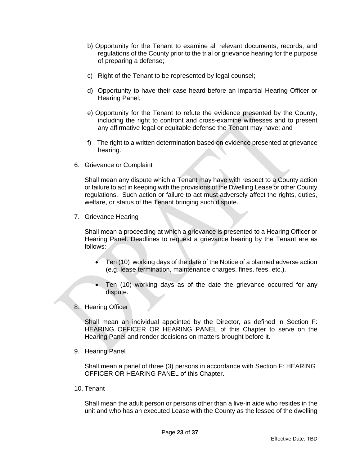- b) Opportunity for the Tenant to examine all relevant documents, records, and regulations of the County prior to the trial or grievance hearing for the purpose of preparing a defense;
- c) Right of the Tenant to be represented by legal counsel;
- d) Opportunity to have their case heard before an impartial Hearing Officer or Hearing Panel;
- e) Opportunity for the Tenant to refute the evidence presented by the County, including the right to confront and cross-examine witnesses and to present any affirmative legal or equitable defense the Tenant may have; and
- f) The right to a written determination based on evidence presented at grievance hearing.
- 6. Grievance or Complaint

Shall mean any dispute which a Tenant may have with respect to a County action or failure to act in keeping with the provisions of the Dwelling Lease or other County regulations. Such action or failure to act must adversely affect the rights, duties, welfare, or status of the Tenant bringing such dispute.

7. Grievance Hearing

 Shall mean a proceeding at which a grievance is presented to a Hearing Officer or Hearing Panel. Deadlines to request a grievance hearing by the Tenant are as follows:

- Ten (10) working days of the date of the Notice of a planned adverse action (e.g. lease termination, maintenance charges, fines, fees, etc.).
- Ten (10) working days as of the date the grievance occurred for any dispute.
- 8. Hearing Officer

 Shall mean an individual appointed by the Director, as defined in Section F: HEARING OFFICER OR HEARING PANEL of this Chapter to serve on the Hearing Panel and render decisions on matters brought before it.

9. Hearing Panel

Shall mean a panel of three (3) persons in accordance with Section F: HEARING OFFICER OR HEARING PANEL of this Chapter.

10. Tenant

Shall mean the adult person or persons other than a live-in aide who resides in the unit and who has an executed Lease with the County as the lessee of the dwelling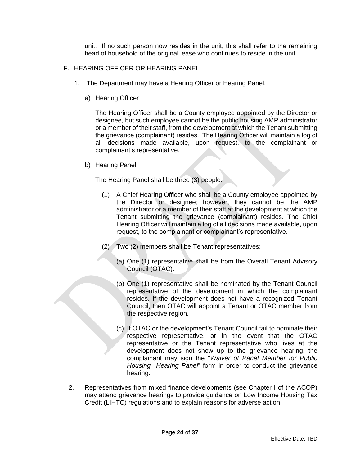unit. If no such person now resides in the unit, this shall refer to the remaining head of household of the original lease who continues to reside in the unit.

- F. HEARING OFFICER OR HEARING PANEL
	- 1. The Department may have a Hearing Officer or Hearing Panel.
		- a) Hearing Officer

The Hearing Officer shall be a County employee appointed by the Director or designee, but such employee cannot be the public housing AMP administrator or a member of their staff, from the development at which the Tenant submitting the grievance (complainant) resides. The Hearing Officer will maintain a log of all decisions made available, upon request, to the complainant or complainant's representative.

b) Hearing Panel

The Hearing Panel shall be three (3) people.

- (1) A Chief Hearing Officer who shall be a County employee appointed by the Director or designee; however, they cannot be the AMP administrator or a member of their staff at the development at which the Tenant submitting the grievance (complainant) resides. The Chief Hearing Officer will maintain a log of all decisions made available, upon request, to the complainant or complainant's representative.
- (2) Two (2) members shall be Tenant representatives:
	- (a) One (1) representative shall be from the Overall Tenant Advisory Council (OTAC).
	- (b) One (1) representative shall be nominated by the Tenant Council representative of the development in which the complainant resides. If the development does not have a recognized Tenant Council, then OTAC will appoint a Tenant or OTAC member from the respective region.
	- (c) If OTAC or the development's Tenant Council fail to nominate their respective representative, or in the event that the OTAC representative or the Tenant representative who lives at the development does not show up to the grievance hearing, the complainant may sign the "*Waiver of Panel Member for Public Housing Hearing Panel*" form in order to conduct the grievance hearing.
- 2. Representatives from mixed finance developments (see Chapter I of the ACOP) may attend grievance hearings to provide guidance on Low Income Housing Tax Credit (LIHTC) regulations and to explain reasons for adverse action.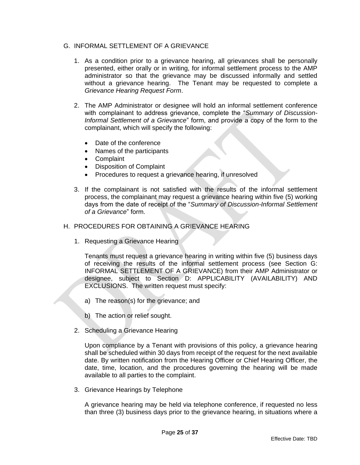#### G. INFORMAL SETTLEMENT OF A GRIEVANCE

- 1. As a condition prior to a grievance hearing, all grievances shall be personally presented, either orally or in writing, for informal settlement process to the AMP administrator so that the grievance may be discussed informally and settled without a grievance hearing. The Tenant may be requested to complete a *Grievance Hearing Request Form*.
- 2. The AMP Administrator or designee will hold an informal settlement conference with complainant to address grievance, complete the "*Summary of Discussion-Informal Settlement of a Grievance*" form, and provide a copy of the form to the complainant, which will specify the following:
	- Date of the conference
	- Names of the participants
	- Complaint
	- Disposition of Complaint
	- Procedures to request a grievance hearing, if unresolved
- 3. If the complainant is not satisfied with the results of the informal settlement process, the complainant may request a grievance hearing within five (5) working days from the date of receipt of the "*Summary of Discussion-Informal Settlement of a Grievance*" form.

#### H. PROCEDURES FOR OBTAINING A GRIEVANCE HEARING

1. Requesting a Grievance Hearing

Tenants must request a grievance hearing in writing within five (5) business days of receiving the results of the informal settlement process (see Section G: INFORMAL SETTLEMENT OF A GRIEVANCE) from their AMP Administrator or designee, subject to Section D: APPLICABILITY (AVAILABILITY) AND EXCLUSIONS. The written request must specify:

- a) The reason(s) for the grievance; and
- b) The action or relief sought.
- 2. Scheduling a Grievance Hearing

Upon compliance by a Tenant with provisions of this policy, a grievance hearing shall be scheduled within 30 days from receipt of the request for the next available date. By written notification from the Hearing Officer or Chief Hearing Officer, the date, time, location, and the procedures governing the hearing will be made available to all parties to the complaint.

3. Grievance Hearings by Telephone

A grievance hearing may be held via telephone conference, if requested no less than three (3) business days prior to the grievance hearing, in situations where a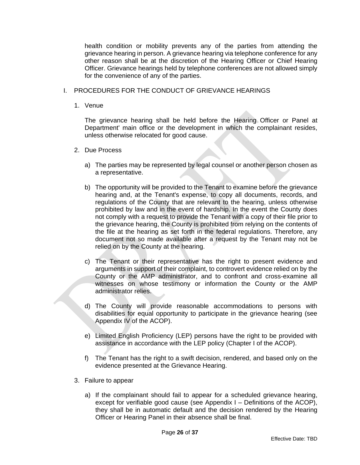health condition or mobility prevents any of the parties from attending the grievance hearing in person. A grievance hearing via telephone conference for any other reason shall be at the discretion of the Hearing Officer or Chief Hearing Officer. Grievance hearings held by telephone conferences are not allowed simply for the convenience of any of the parties.

- I. PROCEDURES FOR THE CONDUCT OF GRIEVANCE HEARINGS
	- 1. Venue

The grievance hearing shall be held before the Hearing Officer or Panel at Department' main office or the development in which the complainant resides, unless otherwise relocated for good cause.

- 2. Due Process
	- a) The parties may be represented by legal counsel or another person chosen as a representative.
	- b) The opportunity will be provided to the Tenant to examine before the grievance hearing and, at the Tenant's expense, to copy all documents, records, and regulations of the County that are relevant to the hearing, unless otherwise prohibited by law and in the event of hardship. In the event the County does not comply with a request to provide the Tenant with a copy of their file prior to the grievance hearing, the County is prohibited from relying on the contents of the file at the hearing as set forth in the federal regulations. Therefore, any document not so made available after a request by the Tenant may not be relied on by the County at the hearing.
	- c) The Tenant or their representative has the right to present evidence and arguments in support of their complaint, to controvert evidence relied on by the County or the AMP administrator, and to confront and cross-examine all witnesses on whose testimony or information the County or the AMP administrator relies.
	- d) The County will provide reasonable accommodations to persons with disabilities for equal opportunity to participate in the grievance hearing (see Appendix IV of the ACOP).
	- e) Limited English Proficiency (LEP) persons have the right to be provided with assistance in accordance with the LEP policy (Chapter I of the ACOP).
	- f) The Tenant has the right to a swift decision, rendered, and based only on the evidence presented at the Grievance Hearing.
- 3. Failure to appear
	- a) If the complainant should fail to appear for a scheduled grievance hearing, except for verifiable good cause (see Appendix I – Definitions of the ACOP), they shall be in automatic default and the decision rendered by the Hearing Officer or Hearing Panel in their absence shall be final.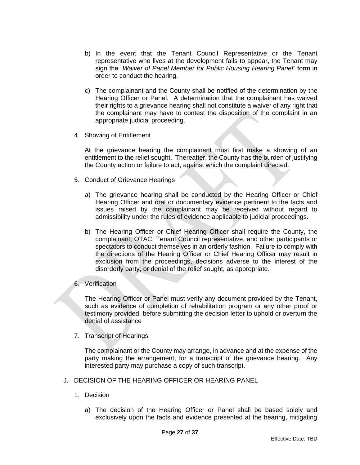- b) In the event that the Tenant Council Representative or the Tenant representative who lives at the development fails to appear, the Tenant may sign the "*Waiver of Panel Member for Public Housing Hearing Panel*" form in order to conduct the hearing.
- c) The complainant and the County shall be notified of the determination by the Hearing Officer or Panel. A determination that the complainant has waived their rights to a grievance hearing shall not constitute a waiver of any right that the complainant may have to contest the disposition of the complaint in an appropriate judicial proceeding.
- 4. Showing of Entitlement

At the grievance hearing the complainant must first make a showing of an entitlement to the relief sought. Thereafter, the County has the burden of justifying the County action or failure to act, against which the complaint directed.

- 5. Conduct of Grievance Hearings
	- a) The grievance hearing shall be conducted by the Hearing Officer or Chief Hearing Officer and oral or documentary evidence pertinent to the facts and issues raised by the complainant may be received without regard to admissibility under the rules of evidence applicable to judicial proceedings.
	- b) The Hearing Officer or Chief Hearing Officer shall require the County, the complainant, OTAC, Tenant Council representative, and other participants or spectators to conduct themselves in an orderly fashion. Failure to comply with the directions of the Hearing Officer or Chief Hearing Officer may result in exclusion from the proceedings, decisions adverse to the interest of the disorderly party, or denial of the relief sought, as appropriate.
- 6. Verification

The Hearing Officer or Panel must verify any document provided by the Tenant, such as evidence of completion of rehabilitation program or any other proof or testimony provided, before submitting the decision letter to uphold or overturn the denial of assistance

7. Transcript of Hearings

The complainant or the County may arrange, in advance and at the expense of the party making the arrangement, for a transcript of the grievance hearing. Any interested party may purchase a copy of such transcript.

- J. DECISION OF THE HEARING OFFICER OR HEARING PANEL
	- 1. Decision
		- a) The decision of the Hearing Officer or Panel shall be based solely and exclusively upon the facts and evidence presented at the hearing, mitigating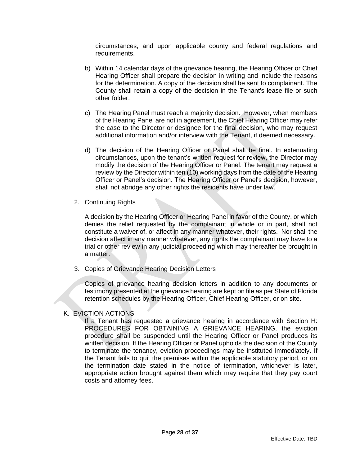circumstances, and upon applicable county and federal regulations and requirements.

- b) Within 14 calendar days of the grievance hearing, the Hearing Officer or Chief Hearing Officer shall prepare the decision in writing and include the reasons for the determination. A copy of the decision shall be sent to complainant. The County shall retain a copy of the decision in the Tenant's lease file or such other folder.
- c) The Hearing Panel must reach a majority decision. However, when members of the Hearing Panel are not in agreement, the Chief Hearing Officer may refer the case to the Director or designee for the final decision, who may request additional information and/or interview with the Tenant, if deemed necessary.
- d) The decision of the Hearing Officer or Panel shall be final. In extenuating circumstances, upon the tenant's written request for review, the Director may modify the decision of the Hearing Officer or Panel. The tenant may request a review by the Director within ten (10) working days from the date of the Hearing Officer or Panel's decision. The Hearing Officer or Panel's decision, however, shall not abridge any other rights the residents have under law.
- 2. Continuing Rights

A decision by the Hearing Officer or Hearing Panel in favor of the County, or which denies the relief requested by the complainant in whole or in part, shall not constitute a waiver of, or affect in any manner whatever, their rights. Nor shall the decision affect in any manner whatever, any rights the complainant may have to a trial or other review in any judicial proceeding which may thereafter be brought in a matter.

3. Copies of Grievance Hearing Decision Letters

Copies of grievance hearing decision letters in addition to any documents or testimony presented at the grievance hearing are kept on file as per State of Florida retention schedules by the Hearing Officer, Chief Hearing Officer, or on site.

#### K. EVICTION ACTIONS

 If a Tenant has requested a grievance hearing in accordance with Section H: PROCEDURES FOR OBTAINING A GRIEVANCE HEARING, the eviction procedure shall be suspended until the Hearing Officer or Panel produces its written decision. If the Hearing Officer or Panel upholds the decision of the County to terminate the tenancy, eviction proceedings may be instituted immediately. If the Tenant fails to quit the premises within the applicable statutory period, or on the termination date stated in the notice of termination, whichever is later, appropriate action brought against them which may require that they pay court costs and attorney fees.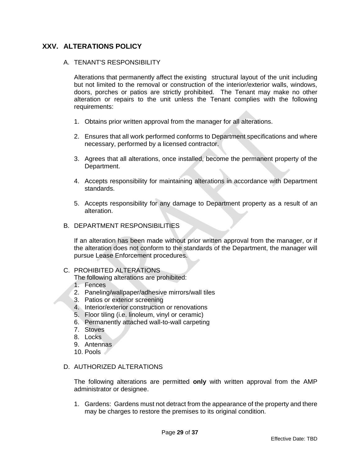# <span id="page-28-0"></span>**XXV. ALTERATIONS POLICY**

#### A. TENANT'S RESPONSIBILITY

Alterations that permanently affect the existing structural layout of the unit including but not limited to the removal or construction of the interior/exterior walls, windows, doors, porches or patios are strictly prohibited. The Tenant may make no other alteration or repairs to the unit unless the Tenant complies with the following requirements:

- 1. Obtains prior written approval from the manager for all alterations.
- 2. Ensures that all work performed conforms to Department specifications and where necessary, performed by a licensed contractor.
- 3. Agrees that all alterations, once installed, become the permanent property of the Department.
- 4. Accepts responsibility for maintaining alterations in accordance with Department standards.
- 5. Accepts responsibility for any damage to Department property as a result of an alteration.

#### B. DEPARTMENT RESPONSIBILITIES

If an alteration has been made without prior written approval from the manager, or if the alteration does not conform to the standards of the Department, the manager will pursue Lease Enforcement procedures.

#### C. PROHIBITED ALTERATIONS

The following alterations are prohibited:

- 1. Fences
- 2. Paneling/wallpaper/adhesive mirrors/wall tiles
- 3. Patios or exterior screening
- 4. Interior/exterior construction or renovations
- 5. Floor tiling (i.e. linoleum, vinyl or ceramic)
- 6. Permanently attached wall-to-wall carpeting
- 7. Stoves
- 8. Locks
- 9. Antennas
- 10. Pools

#### D. AUTHORIZED ALTERATIONS

The following alterations are permitted **only** with written approval from the AMP administrator or designee.

1. Gardens: Gardens must not detract from the appearance of the property and there may be charges to restore the premises to its original condition.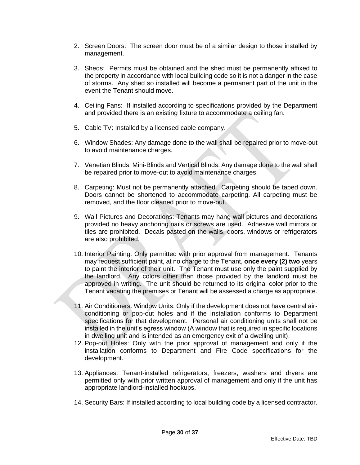- 2. Screen Doors: The screen door must be of a similar design to those installed by management.
- 3. Sheds: Permits must be obtained and the shed must be permanently affixed to the property in accordance with local building code so it is not a danger in the case of storms. Any shed so installed will become a permanent part of the unit in the event the Tenant should move.
- 4. Ceiling Fans: If installed according to specifications provided by the Department and provided there is an existing fixture to accommodate a ceiling fan.
- 5. Cable TV: Installed by a licensed cable company.
- 6. Window Shades: Any damage done to the wall shall be repaired prior to move-out to avoid maintenance charges.
- 7. Venetian Blinds, Mini-Blinds and Vertical Blinds: Any damage done to the wall shall be repaired prior to move-out to avoid maintenance charges.
- 8. Carpeting: Must not be permanently attached. Carpeting should be taped down. Doors cannot be shortened to accommodate carpeting. All carpeting must be removed, and the floor cleaned prior to move-out.
- 9. Wall Pictures and Decorations: Tenants may hang wall pictures and decorations provided no heavy anchoring nails or screws are used. Adhesive wall mirrors or tiles are prohibited. Decals pasted on the walls, doors, windows or refrigerators are also prohibited.
- 10. Interior Painting: Only permitted with prior approval from management. Tenants may request sufficient paint, at no charge to the Tenant, **once every (2) two** years to paint the interior of their unit. The Tenant must use only the paint supplied by the landlord. Any colors other than those provided by the landlord must be approved in writing. The unit should be returned to its original color prior to the Tenant vacating the premises or Tenant will be assessed a charge as appropriate.
- 11. Air Conditioners. Window Units: Only if the development does not have central airconditioning or pop-out holes and if the installation conforms to Department specifications for that development. Personal air conditioning units shall not be installed in the unit's egress window (A window that is required in specific locations in dwelling unit and is intended as an emergency exit of a dwelling unit).
- 12. Pop-out Holes: Only with the prior approval of management and only if the installation conforms to Department and Fire Code specifications for the development.
- 13. Appliances: Tenant-installed refrigerators, freezers, washers and dryers are permitted only with prior written approval of management and only if the unit has appropriate landlord-installed hookups.
- 14. Security Bars: If installed according to local building code by a licensed contractor.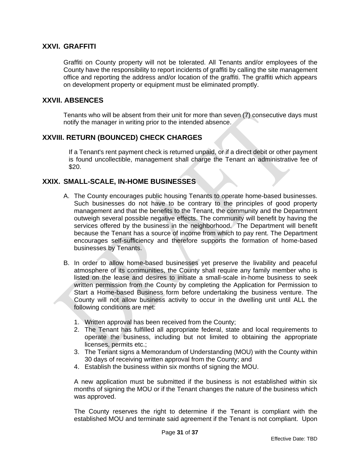#### <span id="page-30-0"></span>**XXVI. GRAFFITI**

Graffiti on County property will not be tolerated. All Tenants and/or employees of the County have the responsibility to report incidents of graffiti by calling the site management office and reporting the address and/or location of the graffiti. The graffiti which appears on development property or equipment must be eliminated promptly.

#### <span id="page-30-1"></span>**XXVII. ABSENCES**

Tenants who will be absent from their unit for more than seven (7) consecutive days must notify the manager in writing prior to the intended absence.

#### <span id="page-30-2"></span>**XXVIII. RETURN (BOUNCED) CHECK CHARGES**

If a Tenant's rent payment check is returned unpaid, or if a direct debit or other payment is found uncollectible, management shall charge the Tenant an administrative fee of \$20.

#### <span id="page-30-3"></span>**XXIX. SMALL-SCALE, IN-HOME BUSINESSES**

- A. The County encourages public housing Tenants to operate home-based businesses. Such businesses do not have to be contrary to the principles of good property management and that the benefits to the Tenant, the community and the Department outweigh several possible negative effects. The community will benefit by having the services offered by the business in the neighborhood. The Department will benefit because the Tenant has a source of income from which to pay rent. The Department encourages self-sufficiency and therefore supports the formation of home-based businesses by Tenants.
- B. In order to allow home-based businesses yet preserve the livability and peaceful atmosphere of its communities, the County shall require any family member who is listed on the lease and desires to initiate a small-scale in-home business to seek written permission from the County by completing the Application for Permission to Start a Home-based Business form before undertaking the business venture. The County will not allow business activity to occur in the dwelling unit until ALL the following conditions are met:
	- 1. Written approval has been received from the County;
	- 2. The Tenant has fulfilled all appropriate federal, state and local requirements to operate the business, including but not limited to obtaining the appropriate licenses, permits etc.;
	- 3. The Tenant signs a Memorandum of Understanding (MOU) with the County within 30 days of receiving written approval from the County; and
	- 4. Establish the business within six months of signing the MOU.

A new application must be submitted if the business is not established within six months of signing the MOU or if the Tenant changes the nature of the business which was approved.

The County reserves the right to determine if the Tenant is compliant with the established MOU and terminate said agreement if the Tenant is not compliant. Upon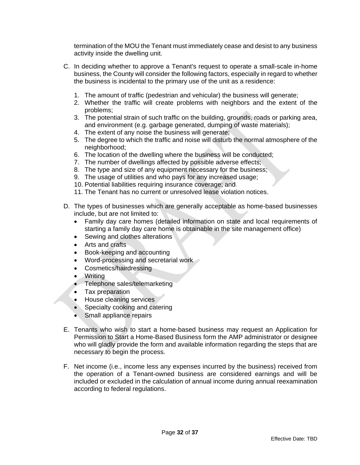termination of the MOU the Tenant must immediately cease and desist to any business activity inside the dwelling unit.

- C. In deciding whether to approve a Tenant's request to operate a small-scale in-home business, the County will consider the following factors, especially in regard to whether the business is incidental to the primary use of the unit as a residence:
	- 1. The amount of traffic (pedestrian and vehicular) the business will generate;
	- 2. Whether the traffic will create problems with neighbors and the extent of the problems;
	- 3. The potential strain of such traffic on the building, grounds, roads or parking area, and environment (e.g. garbage generated, dumping of waste materials);
	- 4. The extent of any noise the business will generate;
	- 5. The degree to which the traffic and noise will disturb the normal atmosphere of the neighborhood:
	- 6. The location of the dwelling where the business will be conducted;
	- 7. The number of dwellings affected by possible adverse effects;
	- 8. The type and size of any equipment necessary for the business;
	- 9. The usage of utilities and who pays for any increased usage;
	- 10. Potential liabilities requiring insurance coverage; and
	- 11. The Tenant has no current or unresolved lease violation notices.
- D. The types of businesses which are generally acceptable as home-based businesses include, but are not limited to:
	- Family day care homes (detailed information on state and local requirements of starting a family day care home is obtainable in the site management office)
	- Sewing and clothes alterations
	- Arts and crafts
	- Book-keeping and accounting
	- Word-processing and secretarial work
	- Cosmetics/hairdressing
	- Writing
	- Telephone sales/telemarketing
	- Tax preparation
	- House cleaning services
	- Specialty cooking and catering
	- Small appliance repairs
- E. Tenants who wish to start a home-based business may request an Application for Permission to Start a Home-Based Business form the AMP administrator or designee who will gladly provide the form and available information regarding the steps that are necessary to begin the process.
- F. Net income (i.e., income less any expenses incurred by the business) received from the operation of a Tenant-owned business are considered earnings and will be included or excluded in the calculation of annual income during annual reexamination according to federal regulations.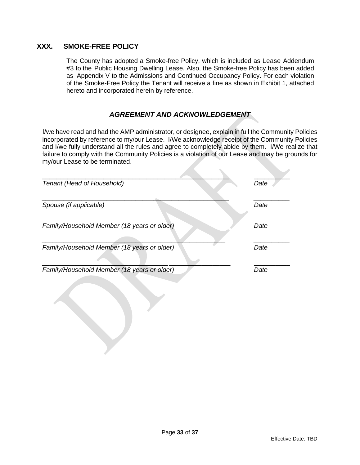# <span id="page-32-0"></span>**XXX. SMOKE-FREE POLICY**

The County has adopted a Smoke-free Policy, which is included as Lease Addendum #3 to the Public Housing Dwelling Lease. Also, the Smoke-free Policy has been added as Appendix V to the Admissions and Continued Occupancy Policy. For each violation of the Smoke-Free Policy the Tenant will receive a fine as shown in Exhibit 1, attached hereto and incorporated herein by reference.

#### *AGREEMENT AND ACKNOWLEDGEMENT*

I/we have read and had the AMP administrator, or designee, explain in full the Community Policies incorporated by reference to my/our Lease. I/We acknowledge receipt of the Community Policies and I/we fully understand all the rules and agree to completely abide by them. I/We realize that failure to comply with the Community Policies is a violation of our Lease and may be grounds for my/our Lease to be terminated.

| Tenant (Head of Household)                  | Date |
|---------------------------------------------|------|
| Spouse (if applicable)                      | Date |
| Family/Household Member (18 years or older) | Date |
| Family/Household Member (18 years or older) | Date |
| Family/Household Member (18 years or older) | Date |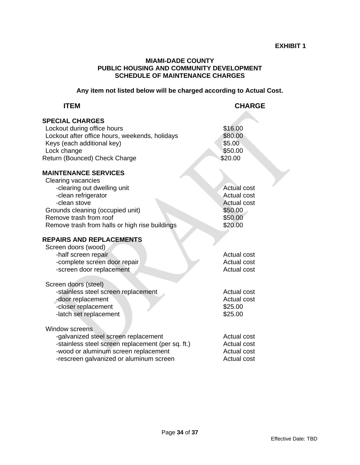#### **MIAMI-DADE COUNTY PUBLIC HOUSING AND COMMUNITY DEVELOPMENT SCHEDULE OF MAINTENANCE CHARGES**

**Any item not listed below will be charged according to Actual Cost.** 

| <b>ITEM</b>                                                                                                                                                                                                                             | <b>CHARGE</b>                                                                            |
|-----------------------------------------------------------------------------------------------------------------------------------------------------------------------------------------------------------------------------------------|------------------------------------------------------------------------------------------|
| <b>SPECIAL CHARGES</b><br>Lockout during office hours<br>Lockout after office hours, weekends, holidays<br>Keys (each additional key)<br>Lock change<br>Return (Bounced) Check Charge                                                   | \$16.00<br>\$80.00<br>\$5.00<br>\$50.00<br>\$20.00                                       |
| <b>MAINTENANCE SERVICES</b><br>Clearing vacancies<br>-clearing out dwelling unit<br>-clean refrigerator<br>-clean stove<br>Grounds cleaning (occupied unit)<br>Remove trash from roof<br>Remove trash from halls or high rise buildings | <b>Actual cost</b><br>Actual cost<br><b>Actual cost</b><br>\$50.00<br>\$50.00<br>\$20.00 |
| <b>REPAIRS AND REPLACEMENTS</b><br>Screen doors (wood)<br>-half screen repair<br>-complete screen door repair<br>-screen door replacement                                                                                               | <b>Actual cost</b><br>Actual cost<br><b>Actual cost</b>                                  |
| Screen doors (steel)<br>-stainless steel screen replacement<br>-door replacement<br>-closer replacement<br>-latch set replacement                                                                                                       | Actual cost<br><b>Actual cost</b><br>\$25.00<br>\$25.00                                  |
| <b>Window screens</b><br>-galvanized steel screen replacement<br>-stainless steel screen replacement (per sq. ft.)<br>-wood or aluminum screen replacement<br>-rescreen galvanized or aluminum screen                                   | Actual cost<br><b>Actual cost</b><br><b>Actual cost</b><br>Actual cost                   |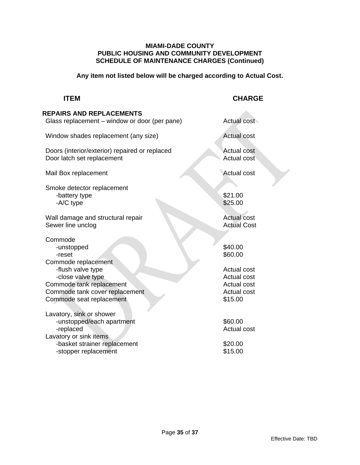#### **MIAMI-DADE COUNTY PUBLIC HOUSING AND COMMUNITY DEVELOPMENT SCHEDULE OF MAINTENANCE CHARGES (Continued)**

**Any item not listed below will be charged according to Actual Cost.**

# **ITEM CHARGE**

| <b>REPAIRS AND REPLACEMENTS</b><br>Glass replacement – window or door (per pane)             | Actual cost                                         |
|----------------------------------------------------------------------------------------------|-----------------------------------------------------|
| Window shades replacement (any size)                                                         | <b>Actual cost</b>                                  |
| Doors (interior/exterior) repaired or replaced<br>Door latch set replacement                 | <b>Actual cost</b><br>Actual cost                   |
| Mail Box replacement                                                                         | <b>Actual cost</b>                                  |
| Smoke detector replacement<br>-battery type<br>-A/C type                                     | \$21.00<br>\$25.00                                  |
| Wall damage and structural repair<br>Sewer line unclog                                       | <b>Actual cost</b><br><b>Actual Cost</b>            |
| Commode<br>-unstopped<br>-reset<br>Commode replacement                                       | \$40.00<br>\$60.00                                  |
| -flush valve type<br>-close valve type                                                       | Actual cost<br><b>Actual cost</b>                   |
| Commode tank replacement<br>Commode tank cover replacement<br>Commode seat replacement       | <b>Actual cost</b><br><b>Actual cost</b><br>\$15.00 |
| Lavatory, sink or shower<br>-unstopped/each apartment<br>-replaced<br>Lavatory or sink items | \$60.00<br><b>Actual cost</b>                       |
| -basket strainer replacement<br>-stopper replacement                                         | \$20.00<br>\$15.00                                  |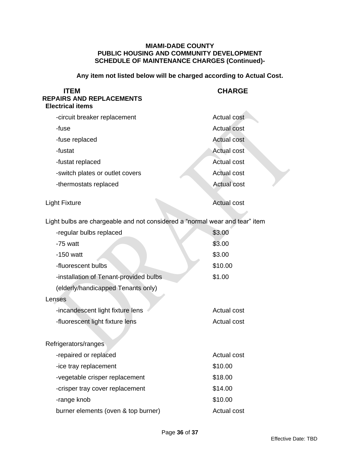#### **MIAMI-DADE COUNTY PUBLIC HOUSING AND COMMUNITY DEVELOPMENT SCHEDULE OF MAINTENANCE CHARGES (Continued)-**

**Any item not listed below will be charged according to Actual Cost.** 

| <b>ITEM</b><br><b>REPAIRS AND REPLACEMENTS</b><br><b>Electrical items</b>   | <b>CHARGE</b>      |  |
|-----------------------------------------------------------------------------|--------------------|--|
| -circuit breaker replacement                                                | <b>Actual cost</b> |  |
| -fuse                                                                       | <b>Actual cost</b> |  |
| -fuse replaced                                                              | <b>Actual cost</b> |  |
| -fustat                                                                     | <b>Actual cost</b> |  |
| -fustat replaced                                                            | <b>Actual cost</b> |  |
| -switch plates or outlet covers                                             | <b>Actual cost</b> |  |
| -thermostats replaced                                                       | <b>Actual cost</b> |  |
| <b>Light Fixture</b>                                                        | <b>Actual cost</b> |  |
| Light bulbs are chargeable and not considered a "normal wear and tear" item |                    |  |
| -regular bulbs replaced                                                     | \$3.00             |  |
| -75 watt                                                                    | \$3.00             |  |
| $-150$ watt                                                                 | \$3.00             |  |
| -fluorescent bulbs                                                          | \$10.00            |  |
| -installation of Tenant-provided bulbs                                      | \$1.00             |  |
| (elderly/handicapped Tenants only)                                          |                    |  |
| Lenses                                                                      |                    |  |
| -incandescent light fixture lens                                            | <b>Actual cost</b> |  |
| -fluorescent light fixture lens                                             | <b>Actual cost</b> |  |
| Refrigerators/ranges                                                        |                    |  |
| -repaired or replaced                                                       | Actual cost        |  |
| -ice tray replacement                                                       | \$10.00            |  |
| -vegetable crisper replacement                                              | \$18.00            |  |
| -crisper tray cover replacement                                             | \$14.00            |  |
| -range knob                                                                 | \$10.00            |  |
| burner elements (oven & top burner)                                         | Actual cost        |  |